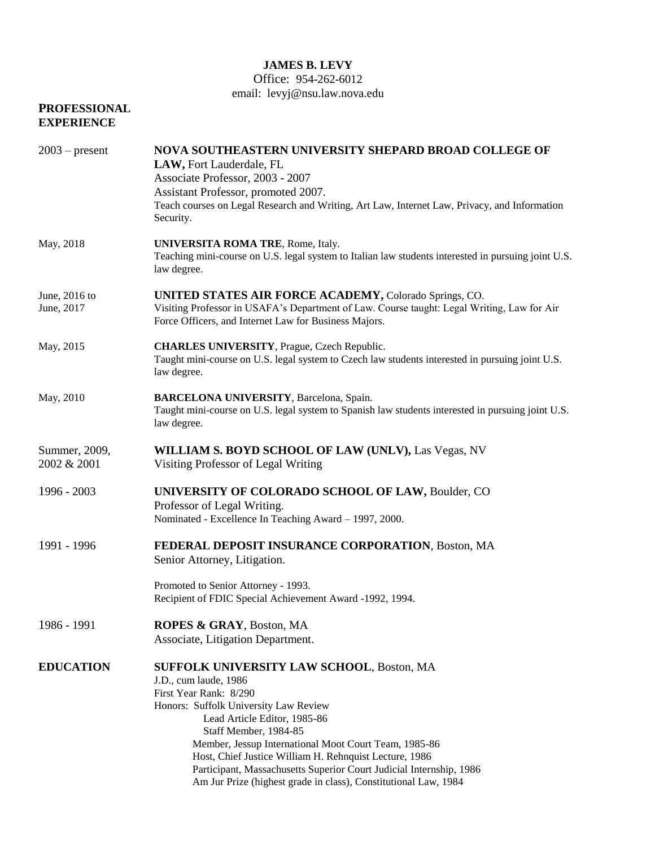## **JAMES B. LEVY**

## Office: 954-262-6012

email: levyj@nsu.law.nova.edu

| <b>PROFESSIONAL</b><br><b>EXPERIENCE</b> |                                                                                                                                                                                                                                                                                                                                                                                                                                                                    |
|------------------------------------------|--------------------------------------------------------------------------------------------------------------------------------------------------------------------------------------------------------------------------------------------------------------------------------------------------------------------------------------------------------------------------------------------------------------------------------------------------------------------|
| $2003$ – present                         | NOVA SOUTHEASTERN UNIVERSITY SHEPARD BROAD COLLEGE OF<br>LAW, Fort Lauderdale, FL<br>Associate Professor, 2003 - 2007<br>Assistant Professor, promoted 2007.<br>Teach courses on Legal Research and Writing, Art Law, Internet Law, Privacy, and Information<br>Security.                                                                                                                                                                                          |
| May, 2018                                | UNIVERSITA ROMA TRE, Rome, Italy.<br>Teaching mini-course on U.S. legal system to Italian law students interested in pursuing joint U.S.<br>law degree.                                                                                                                                                                                                                                                                                                            |
| June, 2016 to<br>June, 2017              | <b>UNITED STATES AIR FORCE ACADEMY, Colorado Springs, CO.</b><br>Visiting Professor in USAFA's Department of Law. Course taught: Legal Writing, Law for Air<br>Force Officers, and Internet Law for Business Majors.                                                                                                                                                                                                                                               |
| May, 2015                                | <b>CHARLES UNIVERSITY</b> , Prague, Czech Republic.<br>Taught mini-course on U.S. legal system to Czech law students interested in pursuing joint U.S.<br>law degree.                                                                                                                                                                                                                                                                                              |
| May, 2010                                | <b>BARCELONA UNIVERSITY</b> , Barcelona, Spain.<br>Taught mini-course on U.S. legal system to Spanish law students interested in pursuing joint U.S.<br>law degree.                                                                                                                                                                                                                                                                                                |
| Summer, 2009,<br>2002 & 2001             | WILLIAM S. BOYD SCHOOL OF LAW (UNLV), Las Vegas, NV<br>Visiting Professor of Legal Writing                                                                                                                                                                                                                                                                                                                                                                         |
| 1996 - 2003                              | UNIVERSITY OF COLORADO SCHOOL OF LAW, Boulder, CO<br>Professor of Legal Writing.<br>Nominated - Excellence In Teaching Award - 1997, 2000.                                                                                                                                                                                                                                                                                                                         |
| 1991 - 1996                              | FEDERAL DEPOSIT INSURANCE CORPORATION, Boston, MA<br>Senior Attorney, Litigation.                                                                                                                                                                                                                                                                                                                                                                                  |
|                                          | Promoted to Senior Attorney - 1993.<br>Recipient of FDIC Special Achievement Award -1992, 1994.                                                                                                                                                                                                                                                                                                                                                                    |
| 1986 - 1991                              | ROPES & GRAY, Boston, MA<br>Associate, Litigation Department.                                                                                                                                                                                                                                                                                                                                                                                                      |
| <b>EDUCATION</b>                         | <b>SUFFOLK UNIVERSITY LAW SCHOOL, Boston, MA</b><br>J.D., cum laude, 1986<br>First Year Rank: 8/290<br>Honors: Suffolk University Law Review<br>Lead Article Editor, 1985-86<br>Staff Member, 1984-85<br>Member, Jessup International Moot Court Team, 1985-86<br>Host, Chief Justice William H. Rehnquist Lecture, 1986<br>Participant, Massachusetts Superior Court Judicial Internship, 1986<br>Am Jur Prize (highest grade in class), Constitutional Law, 1984 |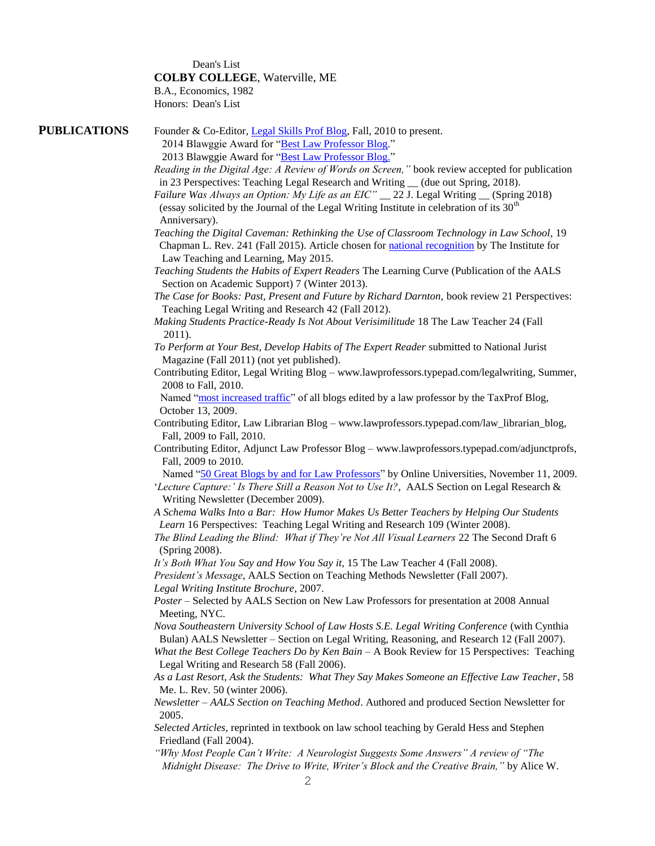Dean's List **COLBY COLLEGE**, Waterville, ME

B.A., Economics, 1982 Honors: Dean's List

| <b>PUBLICATIONS</b> | Founder & Co-Editor, Legal Skills Prof Blog, Fall, 2010 to present.                                                                                                                                                                 |
|---------------------|-------------------------------------------------------------------------------------------------------------------------------------------------------------------------------------------------------------------------------------|
|                     | 2014 Blawggie Award for "Best Law Professor Blog."                                                                                                                                                                                  |
|                     | 2013 Blawggie Award for "Best Law Professor Blog."                                                                                                                                                                                  |
|                     | Reading in the Digital Age: A Review of Words on Screen," book review accepted for publication                                                                                                                                      |
|                     | in 23 Perspectives: Teaching Legal Research and Writing _ (due out Spring, 2018).                                                                                                                                                   |
|                     | Failure Was Always an Option: My Life as an EIC" _ 22 J. Legal Writing _ (Spring 2018)                                                                                                                                              |
|                     | (essay solicited by the Journal of the Legal Writing Institute in celebration of its $30th$                                                                                                                                         |
|                     | Anniversary).                                                                                                                                                                                                                       |
|                     | Teaching the Digital Caveman: Rethinking the Use of Classroom Technology in Law School, 19<br>Chapman L. Rev. 241 (Fall 2015). Article chosen for national recognition by The Institute for<br>Law Teaching and Learning, May 2015. |
|                     | Teaching Students the Habits of Expert Readers The Learning Curve (Publication of the AALS<br>Section on Academic Support) 7 (Winter 2013).                                                                                         |
|                     | The Case for Books: Past, Present and Future by Richard Darnton, book review 21 Perspectives:                                                                                                                                       |
|                     | Teaching Legal Writing and Research 42 (Fall 2012).                                                                                                                                                                                 |
|                     | Making Students Practice-Ready Is Not About Verisimilitude 18 The Law Teacher 24 (Fall<br>2011).                                                                                                                                    |
|                     | To Perform at Your Best, Develop Habits of The Expert Reader submitted to National Jurist                                                                                                                                           |
|                     | Magazine (Fall 2011) (not yet published).                                                                                                                                                                                           |
|                     | Contributing Editor, Legal Writing Blog - www.lawprofessors.typepad.com/legalwriting, Summer,<br>2008 to Fall, 2010.                                                                                                                |
|                     | Named "most increased traffic" of all blogs edited by a law professor by the TaxProf Blog,<br>October 13, 2009.                                                                                                                     |
|                     | Contributing Editor, Law Librarian Blog - www.lawprofessors.typepad.com/law_librarian_blog,                                                                                                                                         |
|                     | Fall, 2009 to Fall, 2010.                                                                                                                                                                                                           |
|                     | Contributing Editor, Adjunct Law Professor Blog - www.lawprofessors.typepad.com/adjunctprofs,<br>Fall, 2009 to 2010.                                                                                                                |
|                     | Named "50 Great Blogs by and for Law Professors" by Online Universities, November 11, 2009.                                                                                                                                         |
|                     | 'Lecture Capture:' Is There Still a Reason Not to Use It?, AALS Section on Legal Research &<br>Writing Newsletter (December 2009).                                                                                                  |
|                     | A Schema Walks Into a Bar: How Humor Makes Us Better Teachers by Helping Our Students                                                                                                                                               |
|                     | Learn 16 Perspectives: Teaching Legal Writing and Research 109 (Winter 2008).                                                                                                                                                       |
|                     | The Blind Leading the Blind: What if They're Not All Visual Learners 22 The Second Draft 6<br>(Spring 2008).                                                                                                                        |
|                     | It's Both What You Say and How You Say it, 15 The Law Teacher 4 (Fall 2008).                                                                                                                                                        |
|                     | President's Message, AALS Section on Teaching Methods Newsletter (Fall 2007).                                                                                                                                                       |
|                     | Legal Writing Institute Brochure, 2007.                                                                                                                                                                                             |
|                     | Poster - Selected by AALS Section on New Law Professors for presentation at 2008 Annual<br>Meeting, NYC.                                                                                                                            |
|                     | Nova Southeastern University School of Law Hosts S.E. Legal Writing Conference (with Cynthia                                                                                                                                        |
|                     | Bulan) AALS Newsletter – Section on Legal Writing, Reasoning, and Research 12 (Fall 2007).                                                                                                                                          |
|                     | What the Best College Teachers Do by Ken Bain - A Book Review for 15 Perspectives: Teaching<br>Legal Writing and Research 58 (Fall 2006).                                                                                           |
|                     | As a Last Resort, Ask the Students: What They Say Makes Someone an Effective Law Teacher, 58                                                                                                                                        |
|                     | Me. L. Rev. 50 (winter 2006).                                                                                                                                                                                                       |
|                     | Newsletter - AALS Section on Teaching Method. Authored and produced Section Newsletter for<br>2005.                                                                                                                                 |
|                     | Selected Articles, reprinted in textbook on law school teaching by Gerald Hess and Stephen<br>Friedland (Fall 2004).                                                                                                                |
|                     | "Why Most People Can't Write: A Neurologist Suggests Some Answers" A review of "The                                                                                                                                                 |

 *Midnight Disease: The Drive to Write, Writer's Block and the Creative Brain,"* by Alice W.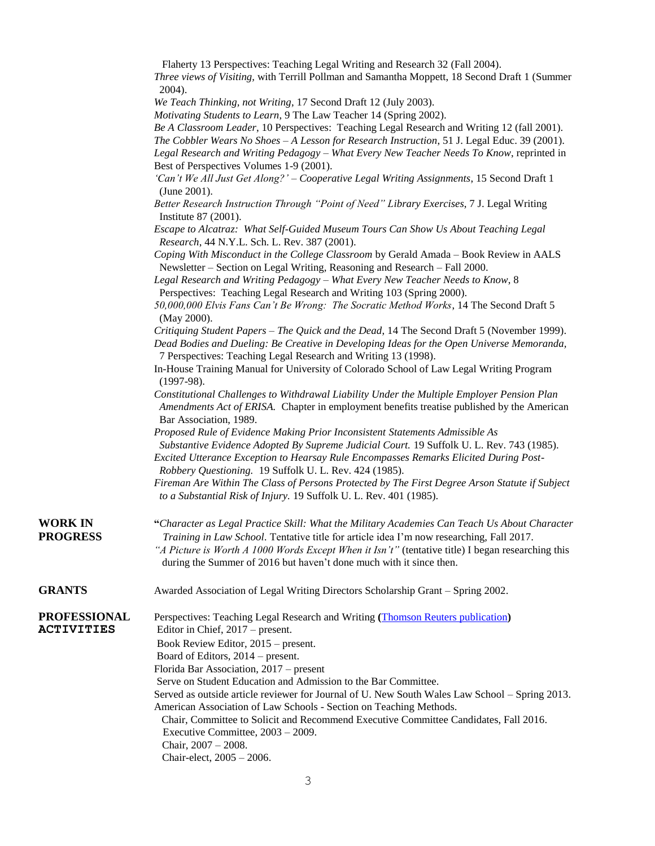|                                          | Flaherty 13 Perspectives: Teaching Legal Writing and Research 32 (Fall 2004).                                                                                                                                      |
|------------------------------------------|--------------------------------------------------------------------------------------------------------------------------------------------------------------------------------------------------------------------|
|                                          | Three views of Visiting, with Terrill Pollman and Samantha Moppett, 18 Second Draft 1 (Summer                                                                                                                      |
|                                          | 2004).                                                                                                                                                                                                             |
|                                          | We Teach Thinking, not Writing, 17 Second Draft 12 (July 2003).                                                                                                                                                    |
|                                          | Motivating Students to Learn, 9 The Law Teacher 14 (Spring 2002).                                                                                                                                                  |
|                                          | Be A Classroom Leader, 10 Perspectives: Teaching Legal Research and Writing 12 (fall 2001).<br>The Cobbler Wears No Shoes - A Lesson for Research Instruction, 51 J. Legal Educ. 39 (2001).                        |
|                                          | Legal Research and Writing Pedagogy - What Every New Teacher Needs To Know, reprinted in                                                                                                                           |
|                                          | Best of Perspectives Volumes 1-9 (2001).                                                                                                                                                                           |
|                                          | 'Can't We All Just Get Along?' - Cooperative Legal Writing Assignments, 15 Second Draft 1                                                                                                                          |
|                                          | (June 2001).                                                                                                                                                                                                       |
|                                          | Better Research Instruction Through "Point of Need" Library Exercises, 7 J. Legal Writing<br>Institute 87 (2001).                                                                                                  |
|                                          | Escape to Alcatraz: What Self-Guided Museum Tours Can Show Us About Teaching Legal<br>Research, 44 N.Y.L. Sch. L. Rev. 387 (2001).                                                                                 |
|                                          | Coping With Misconduct in the College Classroom by Gerald Amada - Book Review in AALS<br>Newsletter - Section on Legal Writing, Reasoning and Research - Fall 2000.                                                |
|                                          | Legal Research and Writing Pedagogy - What Every New Teacher Needs to Know, 8                                                                                                                                      |
|                                          | Perspectives: Teaching Legal Research and Writing 103 (Spring 2000).                                                                                                                                               |
|                                          | 50,000,000 Elvis Fans Can't Be Wrong: The Socratic Method Works, 14 The Second Draft 5<br>(May 2000).                                                                                                              |
|                                          | Critiquing Student Papers – The Quick and the Dead, 14 The Second Draft 5 (November 1999).                                                                                                                         |
|                                          | Dead Bodies and Dueling: Be Creative in Developing Ideas for the Open Universe Memoranda,                                                                                                                          |
|                                          | 7 Perspectives: Teaching Legal Research and Writing 13 (1998).                                                                                                                                                     |
|                                          | In-House Training Manual for University of Colorado School of Law Legal Writing Program<br>$(1997-98).$                                                                                                            |
|                                          | Constitutional Challenges to Withdrawal Liability Under the Multiple Employer Pension Plan<br>Amendments Act of ERISA. Chapter in employment benefits treatise published by the American<br>Bar Association, 1989. |
|                                          | Proposed Rule of Evidence Making Prior Inconsistent Statements Admissible As                                                                                                                                       |
|                                          | Substantive Evidence Adopted By Supreme Judicial Court. 19 Suffolk U. L. Rev. 743 (1985).<br>Excited Utterance Exception to Hearsay Rule Encompasses Remarks Elicited During Post-                                 |
|                                          | Robbery Questioning. 19 Suffolk U. L. Rev. 424 (1985).                                                                                                                                                             |
|                                          | Fireman Are Within The Class of Persons Protected by The First Degree Arson Statute if Subject<br>to a Substantial Risk of Injury. 19 Suffolk U. L. Rev. 401 (1985).                                               |
| <b>WORK IN</b>                           | "Character as Legal Practice Skill: What the Military Academies Can Teach Us About Character                                                                                                                       |
| <b>PROGRESS</b>                          | Training in Law School. Tentative title for article idea I'm now researching, Fall 2017.                                                                                                                           |
|                                          | "A Picture is Worth A 1000 Words Except When it Isn't" (tentative title) I began researching this<br>during the Summer of 2016 but haven't done much with it since then.                                           |
| <b>GRANTS</b>                            | Awarded Association of Legal Writing Directors Scholarship Grant - Spring 2002.                                                                                                                                    |
| <b>PROFESSIONAL</b><br><b>ACTIVITIES</b> | Perspectives: Teaching Legal Research and Writing (Thomson Reuters publication)<br>Editor in Chief, 2017 – present.                                                                                                |
|                                          | Book Review Editor, 2015 – present.                                                                                                                                                                                |
|                                          | Board of Editors, 2014 – present.                                                                                                                                                                                  |
|                                          | Florida Bar Association, 2017 – present                                                                                                                                                                            |
|                                          | Serve on Student Education and Admission to the Bar Committee.                                                                                                                                                     |
|                                          | Served as outside article reviewer for Journal of U. New South Wales Law School - Spring 2013.                                                                                                                     |
|                                          | American Association of Law Schools - Section on Teaching Methods.<br>Chair, Committee to Solicit and Recommend Executive Committee Candidates, Fall 2016.                                                         |
|                                          | Executive Committee, 2003 - 2009.                                                                                                                                                                                  |
|                                          | Chair, $2007 - 2008$ .                                                                                                                                                                                             |
|                                          | Chair-elect, 2005 - 2006.                                                                                                                                                                                          |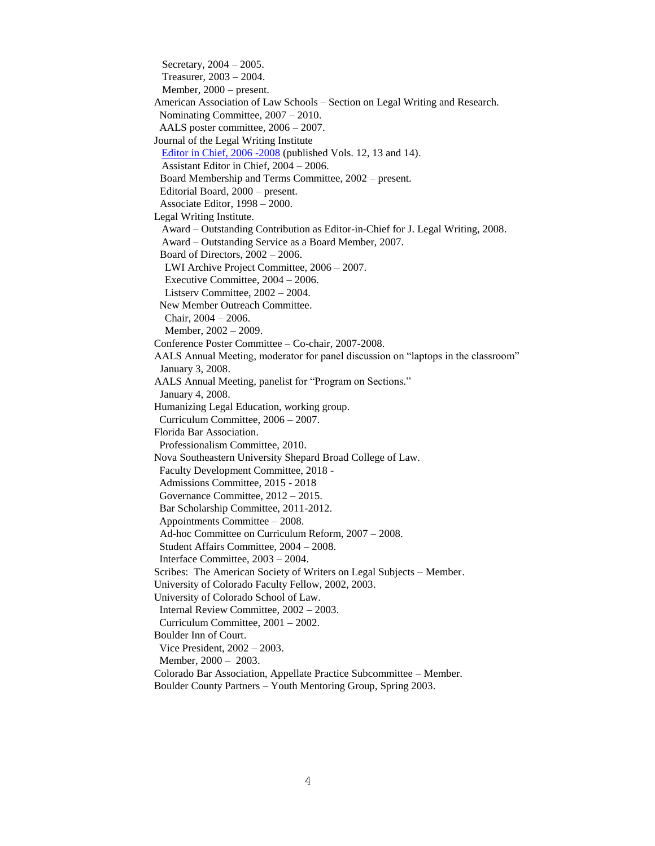Secretary, 2004 – 2005. Treasurer, 2003 – 2004. Member, 2000 – present. American Association of Law Schools – Section on Legal Writing and Research. Nominating Committee, 2007 – 2010. AALS poster committee, 2006 – 2007. Journal of the Legal Writing Institute [Editor in Chief, 2006 -2008](http://www.legalwritingjournal.org/about-us/) (published Vols. 12, 13 and 14). Assistant Editor in Chief, 2004 – 2006. Board Membership and Terms Committee, 2002 – present. Editorial Board, 2000 – present. Associate Editor, 1998 – 2000. Legal Writing Institute. Award – Outstanding Contribution as Editor-in-Chief for J. Legal Writing, 2008. Award – Outstanding Service as a Board Member, 2007. Board of Directors, 2002 – 2006. LWI Archive Project Committee, 2006 – 2007. Executive Committee, 2004 – 2006. Listserv Committee, 2002 – 2004. New Member Outreach Committee. Chair, 2004 – 2006. Member, 2002 – 2009. Conference Poster Committee – Co-chair, 2007-2008. AALS Annual Meeting, moderator for panel discussion on "laptops in the classroom" January 3, 2008. AALS Annual Meeting, panelist for "Program on Sections." January 4, 2008. Humanizing Legal Education, working group. Curriculum Committee, 2006 – 2007. Florida Bar Association. Professionalism Committee, 2010. Nova Southeastern University Shepard Broad College of Law. Faculty Development Committee, 2018 - Admissions Committee, 2015 - 2018 Governance Committee, 2012 – 2015. Bar Scholarship Committee, 2011-2012. Appointments Committee – 2008. Ad-hoc Committee on Curriculum Reform, 2007 – 2008. Student Affairs Committee, 2004 – 2008. Interface Committee, 2003 – 2004. Scribes: The American Society of Writers on Legal Subjects – Member. University of Colorado Faculty Fellow, 2002, 2003. University of Colorado School of Law. Internal Review Committee, 2002 – 2003. Curriculum Committee, 2001 – 2002. Boulder Inn of Court. Vice President, 2002 – 2003. Member, 2000 – 2003. Colorado Bar Association, Appellate Practice Subcommittee – Member. Boulder County Partners – Youth Mentoring Group, Spring 2003.